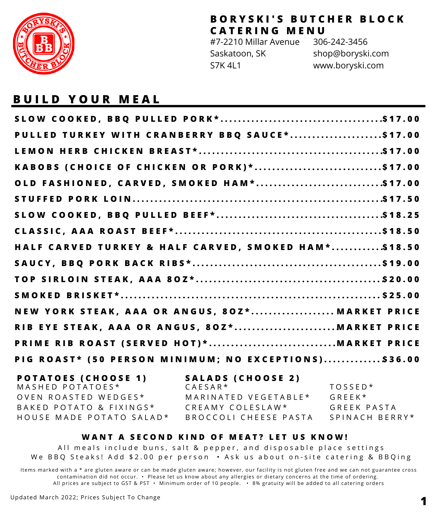

#7-2210 Millar Avenue Saskatoon, SK S7K 4L1 306-242-3456 shop@boryski.com www.boryski.com

## **B U I L D Y O U R M E A L**

| PULLED TURKEY WITH CRANBERRY BBQ SAUCE*\$17.00       |  |
|------------------------------------------------------|--|
|                                                      |  |
| KABOBS (CHOICE OF CHICKEN OR PORK)*\$17.00           |  |
| OLD FASHIONED, CARVED, SMOKED HAM*\$17.00            |  |
|                                                      |  |
|                                                      |  |
|                                                      |  |
| HALF CARVED TURKEY & HALF CARVED, SMOKED HAM*\$18.50 |  |
|                                                      |  |
|                                                      |  |
|                                                      |  |
| NEW YORK STEAK, AAA OR ANGUS, 80Z* MARKET PRICE      |  |
|                                                      |  |
|                                                      |  |
| PIG ROAST* (50 PERSON MINIMUM; NO EXCEPTIONS)\$36.00 |  |

| <b>POTATOES (CHOOSE 1)</b> | SALADS (CHOOSE 2)           |                 |
|----------------------------|-----------------------------|-----------------|
| MASHED POTATOES*           | $C$ $A$ $F$ $S$ $A$ $R$ $*$ | $TOSSED*$       |
| OVEN ROASTED WEDGES*       | MARINATED VEGETABLE*        | $G$ R F F K $*$ |
| BAKED POTATO & FIXINGS*    | CREAMY COLESLAW*            | GREEK PASTA     |
| HOUSE MADE POTATO SALAD*   | BROCCOLI CHEESE PASTA       | SPINACH BERRY*  |

#### WANT A SECOND KIND OF MEAT? LET US KNOW!

All meals include buns, salt & pepper, and disposable place settings We BBQ Steaks! Add \$2.00 per person • Ask us about on-site catering & BBQing

Items marked with a \* are gluten aware or can be made gluten aware; however, our facility is not gluten free and we can not guarantee cross contamination did not occur. • Please let us know about any allergies or dietary concerns at the time of ordering. All prices are subject to GST & PST • Minimum order of 10 people. • 8% gratuity will be added to all catering orders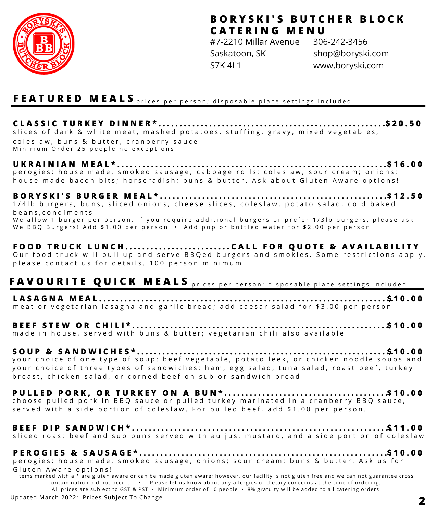

#7-2210 Millar Avenue Saskatoon, SK S7K 4L1 306-242-3456 shop@boryski.com www.boryski.com

#### **F E A T U R E D M E A L S** p r i c e s p e r p e r s o n ; d i s p o s a b l e p l a c e s e t t i n g s i n c l u d e d

**C L A S S I C T U R K E Y D I N N E R \* . . . . . . . . . . . . . . . . . . . . . . . . . . . . . . . . . . . . . . . . . . . . . . . . . . . . . . . \$ 2 0 . 5 0** slices of dark & white meat, mashed potatoes, stuffing, gravy, mixed vegetables, coleslaw, buns & butter, cranberry sauce

Minimum Order 25 people no exceptions

#### **U K R A I N I A N M E A L \* . . . . . . . . . . . . . . . . . . . . . . . . . . . . . . . . . . . . . . . . . . . . . . . . . . . . . . . . . . . . . . . . \$ 1 6 . 0 0** perogies; house made, smoked sausage; cabbage rolls; coleslaw; sour cream; onions; house made bacon bits; horseradish; buns & butter. Ask about Gluten Aware options!

**B O R Y S K I ' S B U R G E R M E A L \* . . . . . . . . . . . . . . . . . . . . . . . . . . . . . . . . . . . . . . . . . . . . . . . . . . . . . . . \$ 1 2 . 5 0** 1/41b burgers, buns, sliced onions, cheese slices, coleslaw, potato salad, cold baked b e a n s , c o n d i m e n t s We allow 1 burger per person, if you require additional burgers or prefer 1/3lb burgers, please ask We BBO Burgers! Add \$1.00 per person  $\cdot$  Add pop or bottled water for \$2.00 per person

### **F O O D T R U C K L U N C H . . . . . . . . . . . . . . . . . . . . . . . . . C A L L F O R Q U O T E & A V A I L A B I L I T Y**

Our food truck will pull up and serve BB Q ed burgers and smokies. Some restrictions apply, p lease contact us for details. 100 person minimum.

# **FAVOURITE QUICK MEALS** prices per person; disposable place settings included

**L A S A G N A M E A L . . . . . . . . . . . . . . . . . . . . . . . . . . . . . . . . . . . . . . . . . . . . . . . . . . . . . . . . . . . . . . . . . . . . . . \$ 1 0 . 0 0** meat or vegetarian lasagna and garlic bread; add caesar salad for \$3.00 per person

**B E E F S T E W O R C H I L I \* . . . . . . . . . . . . . . . . . . . . . . . . . . . . . . . . . . . . . . . . . . . . . . . . . . . . . . . . . . . . . \$ 1 0 . 0 0** made in house, served with buns & butter; vegetarian chili also available

#### **S O U P & S A N D W I C H E S \* . . . . . . . . . . . . . . . . . . . . . . . . . . . . . . . . . . . . . . . . . . . . . . . . . . . . . . . . . . . . . \$ 1 0 . 0 0** your choice of one type of soup: beef vegetable, potato leek, or chicken noodle soups and your choice of three types of sandwiches: ham, egg salad, tuna salad, roast beef, turkey breast, chicken salad, or corned beef on sub or sandwich bread

**P U L L E D P O R K , O R T U R K E Y O N A B U N \* . . . . . . . . . . . . . . . . . . . . . . . . . . . . . . . . . . . . . . . \$ 1 0 . 0 0** choose pulled pork in BBQ sauce or pulled turkey marinated in a cranberry BBQ sauce, served with a side portion of coleslaw. For pulled beef, add \$1.00 per person.

#### **B E E F D I P S A N D W I C H \* . . . . . . . . . . . . . . . . . . . . . . . . . . . . . . . . . . . . . . . . . . . . . . . . . . . . . . . . . . . . . . \$ 1 1 . 0 0** sliced roast beef and sub buns served with au jus, mustard, and a side portion of coleslaw

**P E R O G I E S & S A U S A G E \* . . . . . . . . . . . . . . . . . . . . . . . . . . . . . . . . . . . . . . . . . . . . . . . . . . . . . . . . . . . . \$ 1 0 . 0 0** perogies; house made, smoked sausage; onions; sour cream; buns & butter. Ask us for Gluten Aware options!

Items marked with a \* are gluten aware or can be made gluten aware; however, our facility is not gluten free and we can not guarantee cross contamination did not occur. • Please let us know about any allergies or dietary concerns at the time of ordering. All prices are subject to GST & PST • Minimum order of 10 people • 8% gratuity will be added to all catering orders

Updated March 2022; Prices Subject To Change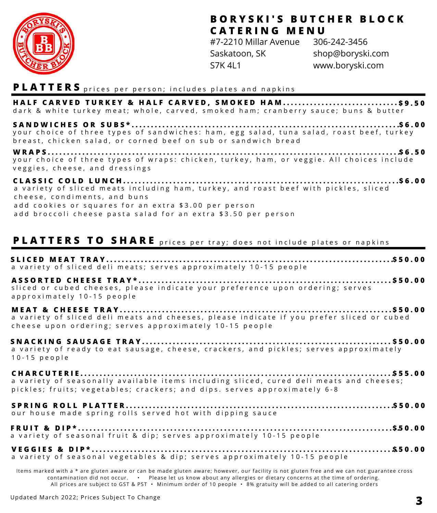

#7-2210 Millar Avenue Saskatoon, SK S7K 4L1 306-242-3456 shop@boryski.com www.boryski.com

#### **PLATTERS** prices per person; includes plates and napkins

HALF CARVED TURKEY & HALF CARVED, SMOKED HAM...............................\$9.50 dark & white turkey meat; whole, carved, smoked ham; cranberry sauce; buns & butter

**S A N D W I C H E S O R S U B S \* . . . . . . . . . . . . . . . . . . . . . . . . . . . . . . . . . . . . . . . . . . . . . . . . . . . . . . . . . . . . . . . . . . . . . . \$ 6 . 0 0** your choice of three types of sandwiches: ham, egg salad, tuna salad, roast beef, turkey breast, chicken salad, or corned beef on sub or sandwich bread

**W R A P S . . . . . . . . . . . . . . . . . . . . . . . . . . . . . . . . . . . . . . . . . . . . . . . . . . . . . . . . . . . . . . . . . . . . . . . . . . . . . . . . . . . . . . . . . . . .** your choice of three types of wraps: chicken, turkey, ham, or veggie. All choices include veggies, cheese, and dressings **\$ 6 . 5 0**

**C L A S S I C C O L D L U N C H . . . . . . . . . . . . . . . . . . . . . . . . . . . . . . . . . . . . . . . . . . . . . . . . . . . . . . . . . . . . . . . . . . . . . . . . \$ 6 . 0 0** a variety of sliced meats including ham, turkey, and roast beef with pickles, sliced cheese, condiments, and buns add cookies or squares for an extra \$3.00 per person add broccoli cheese pasta salad for an extra \$3.50 per person

### **PLATTERS TO SHARE** prices per tray; does not include plates or napkins

| a variety of sliced deli meats; serves approximately 10-15 people                                                                                                    |
|----------------------------------------------------------------------------------------------------------------------------------------------------------------------|
| sliced or cubed cheeses, please indicate your preference upon ordering; serves<br>approximately 10-15 people                                                         |
| a variety of sliced deli meats and cheeses, please indicate if you prefer sliced or cubed<br>cheese upon ordering; serves approximately 10-15 people                 |
| a variety of ready to eat sausage, cheese, crackers, and pickles; serves approximately<br>$10-15$ people                                                             |
| a variety of seasonally available items including sliced, cured deli meats and cheeses;<br>pickles; fruits; vegetables; crackers; and dips. serves approximately 6-8 |
| our house made spring rolls served hot with dipping sauce                                                                                                            |
| a variety of seasonal fruit & dip; serves approximately 10-15 people                                                                                                 |
| a variety of seasonal vegetables & dip; serves approximately 10-15 people                                                                                            |

Items marked with a \* are gluten aware or can be made gluten aware; however, our facility is not gluten free and we can not guarantee cross contamination did not occur. • Please let us know about any allergies or dietary concerns at the time of ordering. All prices are subject to GST & PST • Minimum order of 10 people • 8% gratuity will be added to all catering orders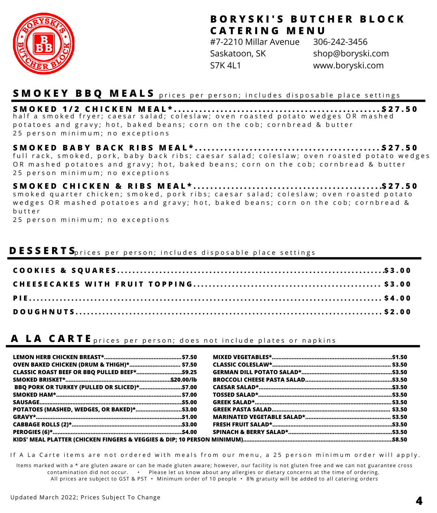

#7-2210 Millar Avenue Saskatoon, SK S7K 4L1 306-242-3456 shop@boryski.com www.boryski.com

#### **S M O K E Y B B Q M E A L S** p r i c e s p e r p e r s o n ; i n c l u d e s d i s p o s a b l e p l a c e s e t t i n g s

**S M O K E D 1 / 2 C H I C K E N M E A L \* . . . . . . . . . . . . . . . . . . . . . . . . . . . . . . . . . . . . . . . . . . . . . . . . . .** half a smoked fryer; caesar salad; coleslaw; oven roasted potato wedges OR mashed p o tato es and gravy; hot, baked beans; corn on the cob; cornbread & butter 25 person minimum: no exceptions **\$ 2 7 . 5 0**

**S M O K E D B A B Y B A C K R I B S M E A L \* . . . . . . . . . . . . . . . . . . . . . . . . . . . . . . . . . . . . . . . . . . . . . \$ 2 7 . 5 0** full rack, smoked, pork, baby back ribs; caesar salad; coleslaw; oven roasted potato wedges OR mashed potatoes and gravy; hot, baked beans; corn on the cob: cornbread & butter 25 person minimum; no exceptions

**S M O K E D C H I C K E N & R I B S M E A L \* . . . . . . . . . . . . . . . . . . . . . . . . . . . . . . . . . . . . . . . . . . . . . . \$ 2 7 . 5 0** s m o k e d quarter chicken; s m o k e d, p or k ribs; caesar salad; coles law; oven roasted potato wedges OR mashed potatoes and gravy; hot, baked beans; corn on the cob; cornbread & b u t t e r

25 person minimum; no exceptions

#### **D E S S E R T S** p r i c e s p e r p e r s o n ; i n c l u d e s d i s p o s a b l e p l a c e s e t t i n g s

### **A** LA CARTE prices per person; does not include plates or napkins

| <b>OVEN BAKED CHICKEN (DRUM &amp; THIGH)* \$7.50</b>                                                          |  |  |
|---------------------------------------------------------------------------------------------------------------|--|--|
| CLASSIC ROAST BEEF OR BBQ PULLED BEEF*\$9.25                                                                  |  |  |
|                                                                                                               |  |  |
| BBQ PORK OR TURKEY (PULLED OR SLICED)*\$7.00                                                                  |  |  |
|                                                                                                               |  |  |
|                                                                                                               |  |  |
|                                                                                                               |  |  |
|                                                                                                               |  |  |
|                                                                                                               |  |  |
|                                                                                                               |  |  |
| KIDS' MEAL PLATTER (CHICKEN FINGERS & VEGGIES & DIP; 10 PERSON MINIMUM)……………………………………………………………………………………\$8.50 |  |  |

If A La Carte items are not ordered with meals from our menu, a 25 person minimum order will apply.

Items marked with a \* are gluten aware or can be made gluten aware; however, our facility is not gluten free and we can not guarantee cross contamination did not occur. • Please let us know about any allergies or dietary concerns at the time of ordering. All prices are subject to GST & PST • Minimum order of 10 people • 8% gratuity will be added to all catering orders